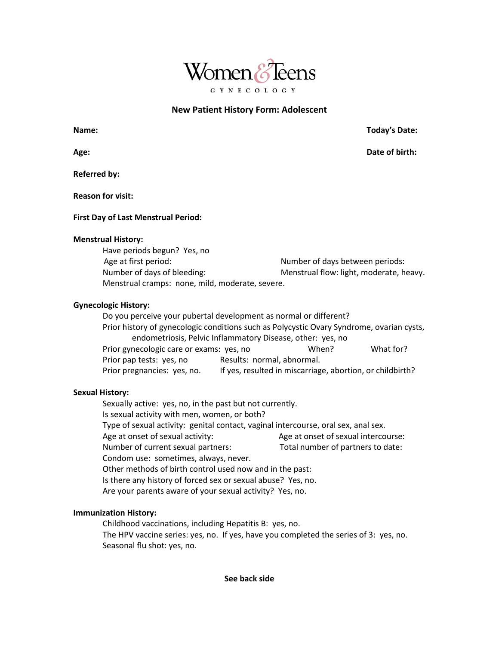

# **New Patient History Form: Adolescent**

**Referred by:**

**Reason for visit:**

## **First Day of Last Menstrual Period:**

### **Menstrual History:**

Have periods begun? Yes, no Age at first period: Number of days between periods: Number of days of bleeding: Menstrual flow: light, moderate, heavy. Menstrual cramps: none, mild, moderate, severe.

## **Gynecologic History:**

Do you perceive your pubertal development as normal or different? Prior history of gynecologic conditions such as Polycystic Ovary Syndrome, ovarian cysts, endometriosis, Pelvic Inflammatory Disease, other: yes, no Prior gynecologic care or exams: yes, no When? When? What for? Prior pap tests: yes, no Results: normal, abnormal. Prior pregnancies: yes, no. If yes, resulted in miscarriage, abortion, or childbirth?

## **Sexual History:**

Sexually active: yes, no, in the past but not currently. Is sexual activity with men, women, or both? Type of sexual activity: genital contact, vaginal intercourse, oral sex, anal sex. Age at onset of sexual activity: Age at onset of sexual intercourse: Number of current sexual partners: Total number of partners to date: Condom use: sometimes, always, never. Other methods of birth control used now and in the past: Is there any history of forced sex or sexual abuse? Yes, no. Are your parents aware of your sexual activity? Yes, no.

# **Immunization History:**

Childhood vaccinations, including Hepatitis B: yes, no. The HPV vaccine series: yes, no. If yes, have you completed the series of 3: yes, no. Seasonal flu shot: yes, no.

### **See back side**

**Name: Today's Date:**

**Age: Date of birth:**